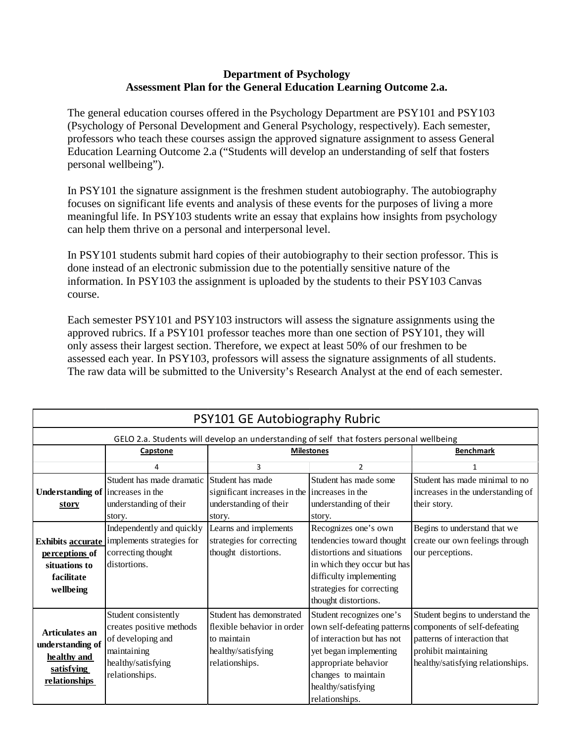## **Department of Psychology Assessment Plan for the General Education Learning Outcome 2.a.**

The general education courses offered in the Psychology Department are PSY101 and PSY103 (Psychology of Personal Development and General Psychology, respectively). Each semester, professors who teach these courses assign the approved signature assignment to assess General Education Learning Outcome 2.a ("Students will develop an understanding of self that fosters personal wellbeing").

In PSY101 the signature assignment is the freshmen student autobiography. The autobiography focuses on significant life events and analysis of these events for the purposes of living a more meaningful life. In PSY103 students write an essay that explains how insights from psychology can help them thrive on a personal and interpersonal level.

In PSY101 students submit hard copies of their autobiography to their section professor. This is done instead of an electronic submission due to the potentially sensitive nature of the information. In PSY103 the assignment is uploaded by the students to their PSY103 Canvas course.

Each semester PSY101 and PSY103 instructors will assess the signature assignments using the approved rubrics. If a PSY101 professor teaches more than one section of PSY101, they will only assess their largest section. Therefore, we expect at least 50% of our freshmen to be assessed each year. In PSY103, professors will assess the signature assignments of all students. The raw data will be submitted to the University's Research Analyst at the end of each semester.

| PSY101 GE Autobiography Rubric                                                           |                                             |                                                |                             |                                                          |  |  |  |  |
|------------------------------------------------------------------------------------------|---------------------------------------------|------------------------------------------------|-----------------------------|----------------------------------------------------------|--|--|--|--|
| GELO 2.a. Students will develop an understanding of self that fosters personal wellbeing |                                             |                                                |                             |                                                          |  |  |  |  |
|                                                                                          | Capstone                                    | <b>Milestones</b>                              |                             | <b>Benchmark</b>                                         |  |  |  |  |
|                                                                                          | 4                                           | 3                                              | 2                           | $\mathbf{1}$                                             |  |  |  |  |
| Understanding of increases in the                                                        | Student has made dramatic                   | Student has made                               | Student has made some       | Student has made minimal to no                           |  |  |  |  |
|                                                                                          |                                             | significant increases in the lincreases in the |                             | increases in the understanding of                        |  |  |  |  |
| story                                                                                    | understanding of their                      | understanding of their                         | understanding of their      | their story.                                             |  |  |  |  |
|                                                                                          | story.                                      | story.                                         | story.                      |                                                          |  |  |  |  |
|                                                                                          | Independently and quickly                   | Learns and implements                          | Recognizes one's own        | Begins to understand that we                             |  |  |  |  |
|                                                                                          | Exhibits accurate implements strategies for | strategies for correcting                      | tendencies toward thought   | create our own feelings through                          |  |  |  |  |
| perceptions of                                                                           | correcting thought                          | thought distortions.                           | distortions and situations  | our perceptions.                                         |  |  |  |  |
| situations to                                                                            | distortions.                                |                                                | in which they occur but has |                                                          |  |  |  |  |
| facilitate                                                                               |                                             |                                                | difficulty implementing     |                                                          |  |  |  |  |
| wellbeing                                                                                |                                             |                                                | strategies for correcting   |                                                          |  |  |  |  |
|                                                                                          |                                             |                                                | thought distortions.        |                                                          |  |  |  |  |
| Articulates an<br>understanding of<br>healthy and<br>satisfying<br><u>relationships</u>  | Student consistently                        | Student has demonstrated                       | Student recognizes one's    | Student begins to understand the                         |  |  |  |  |
|                                                                                          | creates positive methods                    | flexible behavior in order                     |                             | own self-defeating patterns components of self-defeating |  |  |  |  |
|                                                                                          | of developing and                           | to maintain                                    | of interaction but has not  | patterns of interaction that                             |  |  |  |  |
|                                                                                          | maintaining                                 | healthy/satisfying                             | yet began implementing      | prohibit maintaining                                     |  |  |  |  |
|                                                                                          | healthy/satisfying                          | relationships.                                 | appropriate behavior        | healthy/satisfying relationships.                        |  |  |  |  |
|                                                                                          | relationships.                              |                                                | changes to maintain         |                                                          |  |  |  |  |
|                                                                                          |                                             |                                                | healthy/satisfying          |                                                          |  |  |  |  |
|                                                                                          |                                             |                                                | relationships.              |                                                          |  |  |  |  |